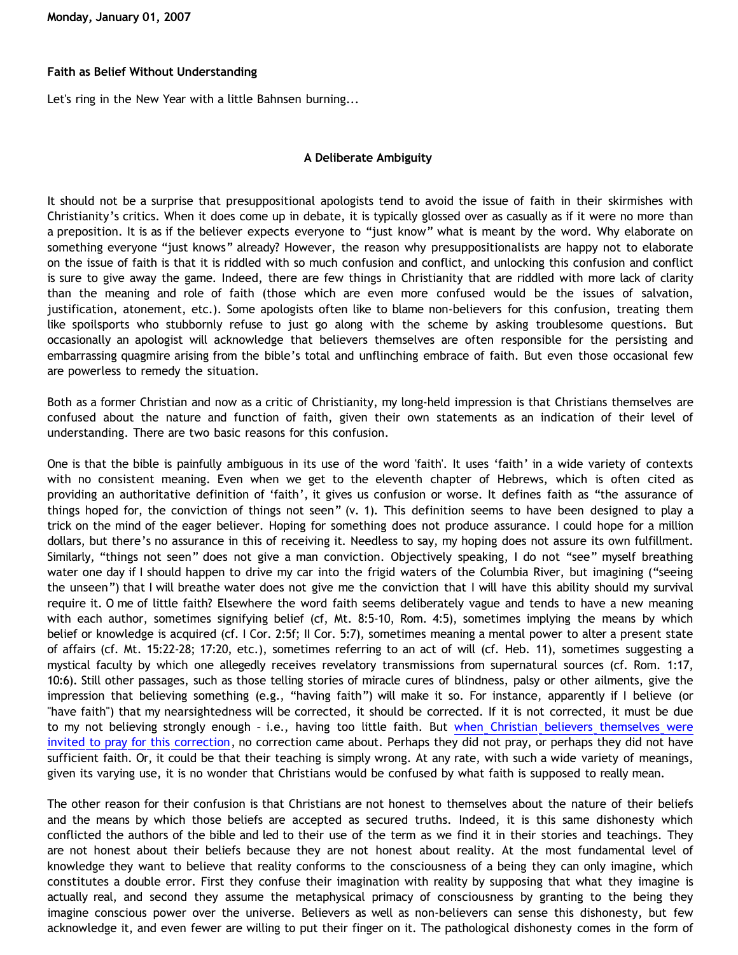**Monday, January 01, 2007**

#### **Faith as Belief Without Understanding**

Let's ring in the New Year with a little Bahnsen burning...

#### **A Deliberate Ambiguity**

It should not be a surprise that presuppositional apologists tend to avoid the issue of faith in their skirmishes with Christianity's critics. When it does come up in debate, it is typically glossed over as casually as if it were no more than a preposition. It is as if the believer expects everyone to "just know" what is meant by the word. Why elaborate on something everyone "just knows" already? However, the reason why presuppositionalists are happy not to elaborate on the issue of faith is that it is riddled with so much confusion and conflict, and unlocking this confusion and conflict is sure to give away the game. Indeed, there are few things in Christianity that are riddled with more lack of clarity than the meaning and role of faith (those which are even more confused would be the issues of salvation, justification, atonement, etc.). Some apologists often like to blame non-believers for this confusion, treating them like spoilsports who stubbornly refuse to just go along with the scheme by asking troublesome questions. But occasionally an apologist will acknowledge that believers themselves are often responsible for the persisting and embarrassing quagmire arising from the bible's total and unflinching embrace of faith. But even those occasional few are powerless to remedy the situation.

Both as a former Christian and now as a critic of Christianity, my long-held impression is that Christians themselves are confused about the nature and function of faith, given their own statements as an indication of their level of understanding. There are two basic reasons for this confusion.

One is that the bible is painfully ambiguous in its use of the word 'faith'. It uses 'faith' in a wide variety of contexts with no consistent meaning. Even when we get to the eleventh chapter of Hebrews, which is often cited as providing an authoritative definition of 'faith', it gives us confusion or worse. It defines faith as "the assurance of things hoped for, the conviction of things not seen" (v. 1). This definition seems to have been designed to play a trick on the mind of the eager believer. Hoping for something does not produce assurance. I could hope for a million dollars, but there's no assurance in this of receiving it. Needless to say, my hoping does not assure its own fulfillment. Similarly, "things not seen" does not give a man conviction. Objectively speaking, I do not "see" myself breathing water one day if I should happen to drive my car into the frigid waters of the Columbia River, but imagining ("seeing the unseen") that I will breathe water does not give me the conviction that I will have this ability should my survival require it. O me of little faith? Elsewhere the word faith seems deliberately vague and tends to have a new meaning with each author, sometimes signifying belief (cf, Mt. 8:5-10, Rom. 4:5), sometimes implying the means by which belief or knowledge is acquired (cf. I Cor. 2:5f; II Cor. 5:7), sometimes meaning a mental power to alter a present state of affairs (cf. Mt. 15:22-28; 17:20, etc.), sometimes referring to an act of will (cf. Heb. 11), sometimes suggesting a mystical faculty by which one allegedly receives revelatory transmissions from supernatural sources (cf. Rom. 1:17, 10:6). Still other passages, such as those telling stories of miracle cures of blindness, palsy or other ailments, give the impression that believing something (e.g., "having faith") will make it so. For instance, apparently if I believe (or "have faith") that my nearsightedness will be corrected, it should be corrected. If it is not corrected, it must be due to my not believing strongly enough – i.e., having too little faith. But [when Christian believers themselves were](http://killtheafterlife.blogspot.com/2006/08/operation-pray-dawsons-way-to-2020.html) [invited to pray for this correction,](http://killtheafterlife.blogspot.com/2006/08/operation-pray-dawsons-way-to-2020.html) no correction came about. Perhaps they did not pray, or perhaps they did not have sufficient faith. Or, it could be that their teaching is simply wrong. At any rate, with such a wide variety of meanings, given its varying use, it is no wonder that Christians would be confused by what faith is supposed to really mean.

The other reason for their confusion is that Christians are not honest to themselves about the nature of their beliefs and the means by which those beliefs are accepted as secured truths. Indeed, it is this same dishonesty which conflicted the authors of the bible and led to their use of the term as we find it in their stories and teachings. They are not honest about their beliefs because they are not honest about reality. At the most fundamental level of knowledge they want to believe that reality conforms to the consciousness of a being they can only imagine, which constitutes a double error. First they confuse their imagination with reality by supposing that what they imagine is actually real, and second they assume the metaphysical primacy of consciousness by granting to the being they imagine conscious power over the universe. Believers as well as non-believers can sense this dishonesty, but few acknowledge it, and even fewer are willing to put their finger on it. The pathological dishonesty comes in the form of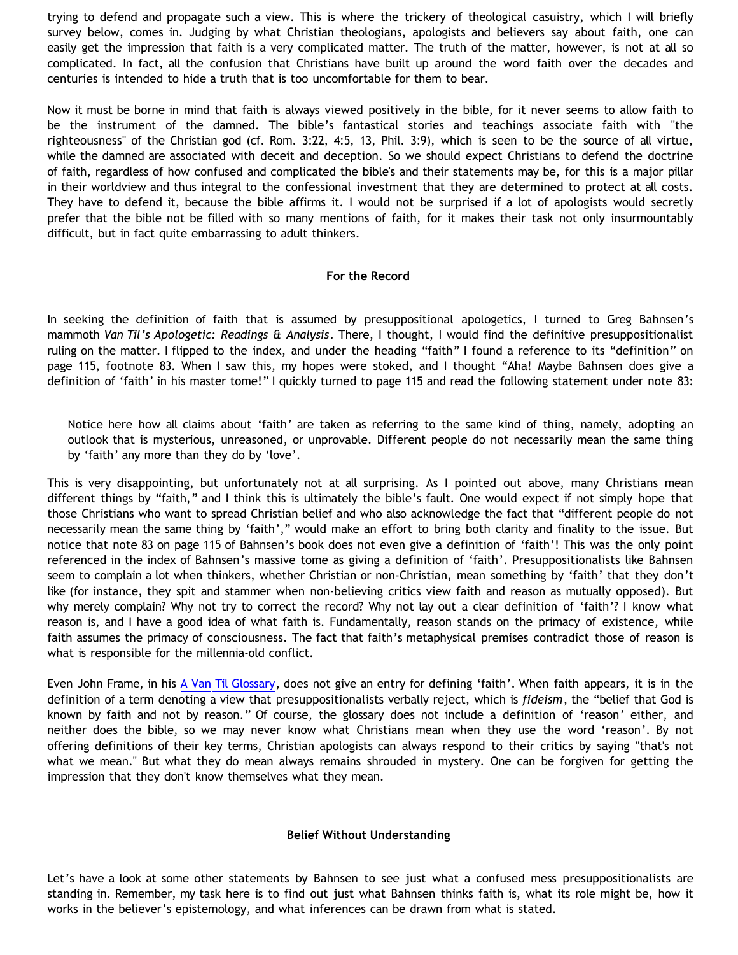trying to defend and propagate such a view. This is where the trickery of theological casuistry, which I will briefly survey below, comes in. Judging by what Christian theologians, apologists and believers say about faith, one can easily get the impression that faith is a very complicated matter. The truth of the matter, however, is not at all so complicated. In fact, all the confusion that Christians have built up around the word faith over the decades and centuries is intended to hide a truth that is too uncomfortable for them to bear.

Now it must be borne in mind that faith is always viewed positively in the bible, for it never seems to allow faith to be the instrument of the damned. The bible's fantastical stories and teachings associate faith with "the righteousness" of the Christian god (cf. Rom. 3:22, 4:5, 13, Phil. 3:9), which is seen to be the source of all virtue, while the damned are associated with deceit and deception. So we should expect Christians to defend the doctrine of faith, regardless of how confused and complicated the bible's and their statements may be, for this is a major pillar in their worldview and thus integral to the confessional investment that they are determined to protect at all costs. They have to defend it, because the bible affirms it. I would not be surprised if a lot of apologists would secretly prefer that the bible not be filled with so many mentions of faith, for it makes their task not only insurmountably difficult, but in fact quite embarrassing to adult thinkers.

#### **For the Record**

In seeking the definition of faith that is assumed by presuppositional apologetics, I turned to Greg Bahnsen's mammoth *Van Til's Apologetic: Readings & Analysis*. There, I thought, I would find the definitive presuppositionalist ruling on the matter. I flipped to the index, and under the heading "faith" I found a reference to its "definition" on page 115, footnote 83. When I saw this, my hopes were stoked, and I thought "Aha! Maybe Bahnsen does give a definition of 'faith' in his master tome!" I quickly turned to page 115 and read the following statement under note 83:

Notice here how all claims about 'faith' are taken as referring to the same kind of thing, namely, adopting an outlook that is mysterious, unreasoned, or unprovable. Different people do not necessarily mean the same thing by 'faith' any more than they do by 'love'.

This is very disappointing, but unfortunately not at all surprising. As I pointed out above, many Christians mean different things by "faith," and I think this is ultimately the bible's fault. One would expect if not simply hope that those Christians who want to spread Christian belief and who also acknowledge the fact that "different people do not necessarily mean the same thing by 'faith'," would make an effort to bring both clarity and finality to the issue. But notice that note 83 on page 115 of Bahnsen's book does not even give a definition of 'faith'! This was the only point referenced in the index of Bahnsen's massive tome as giving a definition of 'faith'. Presuppositionalists like Bahnsen seem to complain a lot when thinkers, whether Christian or non-Christian, mean something by 'faith' that they don't like (for instance, they spit and stammer when non-believing critics view faith and reason as mutually opposed). But why merely complain? Why not try to correct the record? Why not lay out a clear definition of 'faith'? I know what reason is, and I have a good idea of what faith is. Fundamentally, reason stands on the primacy of existence, while faith assumes the primacy of consciousness. The fact that faith's metaphysical premises contradict those of reason is what is responsible for the millennia-old conflict.

Even John Frame, in his [A Van Til Glossary,](http://www.frame-poythress.org/frame_articles/2000VanTilGlossary.html) does not give an entry for defining 'faith'. When faith appears, it is in the definition of a term denoting a view that presuppositionalists verbally reject, which is *fideism*, the "belief that God is known by faith and not by reason." Of course, the glossary does not include a definition of 'reason' either, and neither does the bible, so we may never know what Christians mean when they use the word 'reason'. By not offering definitions of their key terms, Christian apologists can always respond to their critics by saying "that's not what we mean." But what they do mean always remains shrouded in mystery. One can be forgiven for getting the impression that they don't know themselves what they mean.

#### **Belief Without Understanding**

Let's have a look at some other statements by Bahnsen to see just what a confused mess presuppositionalists are standing in. Remember, my task here is to find out just what Bahnsen thinks faith is, what its role might be, how it works in the believer's epistemology, and what inferences can be drawn from what is stated.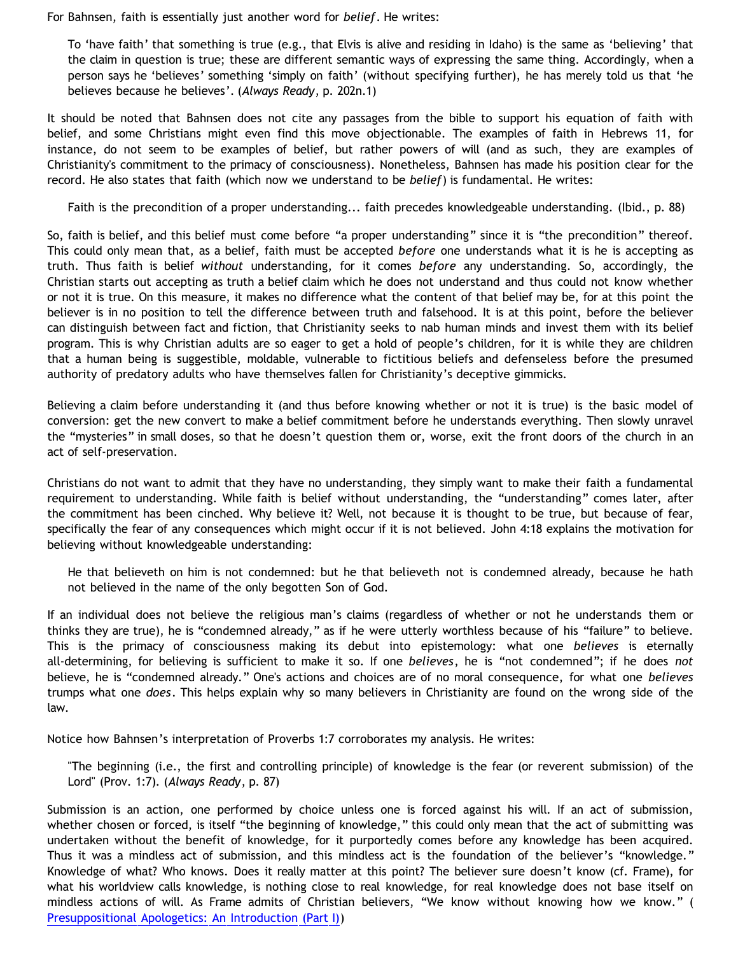For Bahnsen, faith is essentially just another word for *belief*. He writes:

To 'have faith' that something is true (e.g., that Elvis is alive and residing in Idaho) is the same as 'believing' that the claim in question is true; these are different semantic ways of expressing the same thing. Accordingly, when a person says he 'believes' something 'simply on faith' (without specifying further), he has merely told us that 'he believes because he believes'. (*Always Ready*, p. 202n.1)

It should be noted that Bahnsen does not cite any passages from the bible to support his equation of faith with belief, and some Christians might even find this move objectionable. The examples of faith in Hebrews 11, for instance, do not seem to be examples of belief, but rather powers of will (and as such, they are examples of Christianity's commitment to the primacy of consciousness). Nonetheless, Bahnsen has made his position clear for the record. He also states that faith (which now we understand to be *belief*) is fundamental. He writes:

Faith is the precondition of a proper understanding... faith precedes knowledgeable understanding. (Ibid., p. 88)

So, faith is belief, and this belief must come before "a proper understanding" since it is "the precondition" thereof. This could only mean that, as a belief, faith must be accepted *before* one understands what it is he is accepting as truth. Thus faith is belief *without* understanding, for it comes *before* any understanding. So, accordingly, the Christian starts out accepting as truth a belief claim which he does not understand and thus could not know whether or not it is true. On this measure, it makes no difference what the content of that belief may be, for at this point the believer is in no position to tell the difference between truth and falsehood. It is at this point, before the believer can distinguish between fact and fiction, that Christianity seeks to nab human minds and invest them with its belief program. This is why Christian adults are so eager to get a hold of people's children, for it is while they are children that a human being is suggestible, moldable, vulnerable to fictitious beliefs and defenseless before the presumed authority of predatory adults who have themselves fallen for Christianity's deceptive gimmicks.

Believing a claim before understanding it (and thus before knowing whether or not it is true) is the basic model of conversion: get the new convert to make a belief commitment before he understands everything. Then slowly unravel the "mysteries" in small doses, so that he doesn't question them or, worse, exit the front doors of the church in an act of self-preservation.

Christians do not want to admit that they have no understanding, they simply want to make their faith a fundamental requirement to understanding. While faith is belief without understanding, the "understanding" comes later, after the commitment has been cinched. Why believe it? Well, not because it is thought to be true, but because of fear, specifically the fear of any consequences which might occur if it is not believed. John 4:18 explains the motivation for believing without knowledgeable understanding:

He that believeth on him is not condemned: but he that believeth not is condemned already, because he hath not believed in the name of the only begotten Son of God.

If an individual does not believe the religious man's claims (regardless of whether or not he understands them or thinks they are true), he is "condemned already," as if he were utterly worthless because of his "failure" to believe. This is the primacy of consciousness making its debut into epistemology: what one *believes* is eternally all-determining, for believing is sufficient to make it so. If one *believes*, he is "not condemned"; if he does *not* believe, he is "condemned already." One's actions and choices are of no moral consequence, for what one *believes* trumps what one *does*. This helps explain why so many believers in Christianity are found on the wrong side of the law.

Notice how Bahnsen's interpretation of Proverbs 1:7 corroborates my analysis. He writes:

"The beginning (i.e., the first and controlling principle) of knowledge is the fear (or reverent submission) of the Lord" (Prov. 1:7). (*Always Ready*, p. 87)

Submission is an action, one performed by choice unless one is forced against his will. If an act of submission, whether chosen or forced, is itself "the beginning of knowledge," this could only mean that the act of submitting was undertaken without the benefit of knowledge, for it purportedly comes before any knowledge has been acquired. Thus it was a mindless act of submission, and this mindless act is the foundation of the believer's "knowledge." Knowledge of what? Who knows. Does it really matter at this point? The believer sure doesn't know (cf. Frame), for what his worldview calls knowledge, is nothing close to real knowledge, for real knowledge does not base itself on mindless actions of will. As Frame admits of Christian believers, "We know without knowing how we know." ( [Presuppositional Apologetics: An Introduction \(Part I\)](http://www.thirdmill.org/files/english/html/pt/PT.h.Frame.Presupp.Apol.1.html))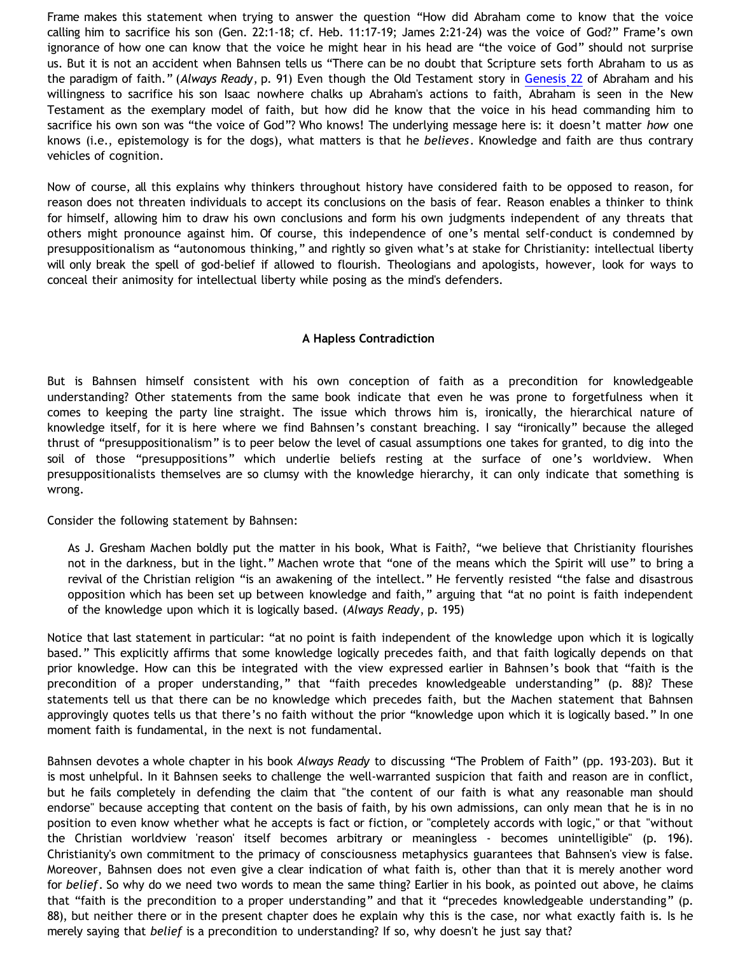Frame makes this statement when trying to answer the question "How did Abraham come to know that the voice calling him to sacrifice his son (Gen. 22:1-18; cf. Heb. 11:17-19; James 2:21-24) was the voice of God?" Frame's own ignorance of how one can know that the voice he might hear in his head are "the voice of God" should not surprise us. But it is not an accident when Bahnsen tells us "There can be no doubt that Scripture sets forth Abraham to us as the paradigm of faith." (*Always Ready*, p. 91) Even though the Old Testament story in [Genesis 22](http://www.biblegateway.com/passage/?book_id=1&chapter=22&version=9&context=chapter) of Abraham and his willingness to sacrifice his son Isaac nowhere chalks up Abraham's actions to faith, Abraham is seen in the New Testament as the exemplary model of faith, but how did he know that the voice in his head commanding him to sacrifice his own son was "the voice of God"? Who knows! The underlying message here is: it doesn't matter *how* one knows (i.e., epistemology is for the dogs), what matters is that he *believes*. Knowledge and faith are thus contrary vehicles of cognition.

Now of course, all this explains why thinkers throughout history have considered faith to be opposed to reason, for reason does not threaten individuals to accept its conclusions on the basis of fear. Reason enables a thinker to think for himself, allowing him to draw his own conclusions and form his own judgments independent of any threats that others might pronounce against him. Of course, this independence of one's mental self-conduct is condemned by presuppositionalism as "autonomous thinking," and rightly so given what's at stake for Christianity: intellectual liberty will only break the spell of god-belief if allowed to flourish. Theologians and apologists, however, look for ways to conceal their animosity for intellectual liberty while posing as the mind's defenders.

# **A Hapless Contradiction**

But is Bahnsen himself consistent with his own conception of faith as a precondition for knowledgeable understanding? Other statements from the same book indicate that even he was prone to forgetfulness when it comes to keeping the party line straight. The issue which throws him is, ironically, the hierarchical nature of knowledge itself, for it is here where we find Bahnsen's constant breaching. I say "ironically" because the alleged thrust of "presuppositionalism" is to peer below the level of casual assumptions one takes for granted, to dig into the soil of those "presuppositions" which underlie beliefs resting at the surface of one's worldview. When presuppositionalists themselves are so clumsy with the knowledge hierarchy, it can only indicate that something is wrong.

Consider the following statement by Bahnsen:

As J. Gresham Machen boldly put the matter in his book, What is Faith?, "we believe that Christianity flourishes not in the darkness, but in the light." Machen wrote that "one of the means which the Spirit will use" to bring a revival of the Christian religion "is an awakening of the intellect." He fervently resisted "the false and disastrous opposition which has been set up between knowledge and faith," arguing that "at no point is faith independent of the knowledge upon which it is logically based. (*Always Ready*, p. 195)

Notice that last statement in particular: "at no point is faith independent of the knowledge upon which it is logically based." This explicitly affirms that some knowledge logically precedes faith, and that faith logically depends on that prior knowledge. How can this be integrated with the view expressed earlier in Bahnsen's book that "faith is the precondition of a proper understanding," that "faith precedes knowledgeable understanding" (p. 88)? These statements tell us that there can be no knowledge which precedes faith, but the Machen statement that Bahnsen approvingly quotes tells us that there's no faith without the prior "knowledge upon which it is logically based." In one moment faith is fundamental, in the next is not fundamental.

Bahnsen devotes a whole chapter in his book *Always Ready* to discussing "The Problem of Faith" (pp. 193-203). But it is most unhelpful. In it Bahnsen seeks to challenge the well-warranted suspicion that faith and reason are in conflict, but he fails completely in defending the claim that "the content of our faith is what any reasonable man should endorse" because accepting that content on the basis of faith, by his own admissions, can only mean that he is in no position to even know whether what he accepts is fact or fiction, or "completely accords with logic," or that "without the Christian worldview 'reason' itself becomes arbitrary or meaningless - becomes unintelligible" (p. 196). Christianity's own commitment to the primacy of consciousness metaphysics guarantees that Bahnsen's view is false. Moreover, Bahnsen does not even give a clear indication of what faith is, other than that it is merely another word for *belief*. So why do we need two words to mean the same thing? Earlier in his book, as pointed out above, he claims that "faith is the precondition to a proper understanding" and that it "precedes knowledgeable understanding" (p. 88), but neither there or in the present chapter does he explain why this is the case, nor what exactly faith is. Is he merely saying that *belief* is a precondition to understanding? If so, why doesn't he just say that?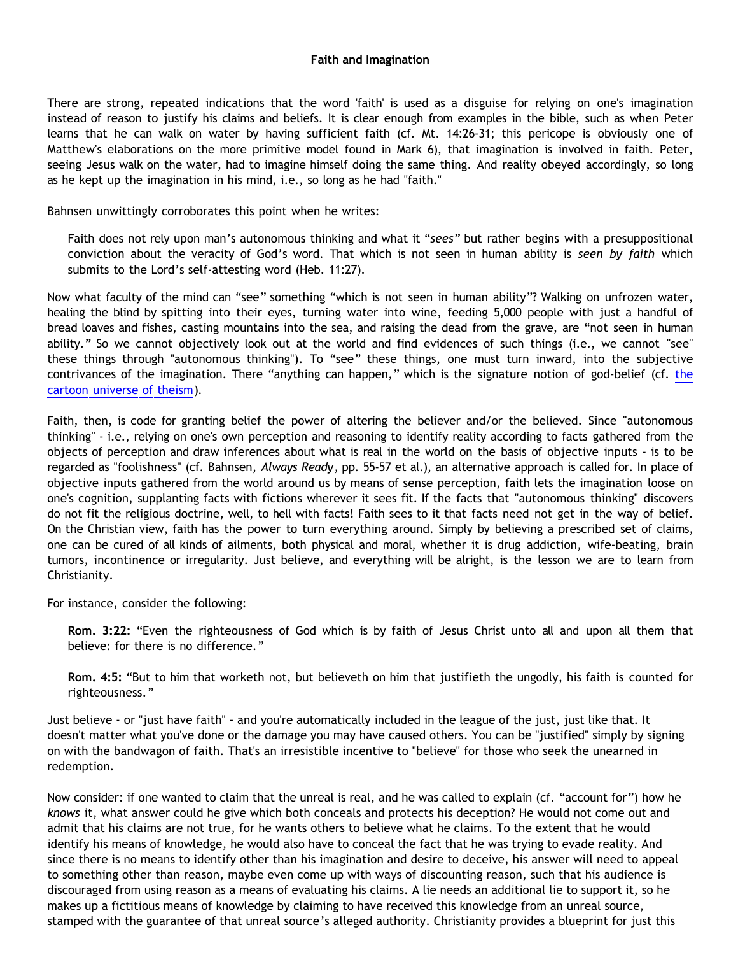#### **Faith and Imagination**

There are strong, repeated indications that the word 'faith' is used as a disguise for relying on one's imagination instead of reason to justify his claims and beliefs. It is clear enough from examples in the bible, such as when Peter learns that he can walk on water by having sufficient faith (cf. Mt. 14:26-31; this pericope is obviously one of Matthew's elaborations on the more primitive model found in Mark 6), that imagination is involved in faith. Peter, seeing Jesus walk on the water, had to imagine himself doing the same thing. And reality obeyed accordingly, so long as he kept up the imagination in his mind, i.e., so long as he had "faith."

Bahnsen unwittingly corroborates this point when he writes:

Faith does not rely upon man's autonomous thinking and what it "*sees*" but rather begins with a presuppositional conviction about the veracity of God's word. That which is not seen in human ability is *seen by faith* which submits to the Lord's self-attesting word (Heb. 11:27).

Now what faculty of the mind can "see" something "which is not seen in human ability"? Walking on unfrozen water, healing the blind by spitting into their eyes, turning water into wine, feeding 5,000 people with just a handful of bread loaves and fishes, casting mountains into the sea, and raising the dead from the grave, are "not seen in human ability." So we cannot objectively look out at the world and find evidences of such things (i.e., we cannot "see" these things through "autonomous thinking"). To "see" these things, one must turn inward, into the subjective contrivances of [the](http://www.strongatheism.net/library/atheology/cartoon_universe_of_theism/) imagination. There "anything can happen," which is the signature notion of god-belief (cf. the [cartoon universe of theism](http://www.strongatheism.net/library/atheology/cartoon_universe_of_theism/)).

Faith, then, is code for granting belief the power of altering the believer and/or the believed. Since "autonomous thinking" - i.e., relying on one's own perception and reasoning to identify reality according to facts gathered from the objects of perception and draw inferences about what is real in the world on the basis of objective inputs - is to be regarded as "foolishness" (cf. Bahnsen, *Always Ready*, pp. 55-57 et al.), an alternative approach is called for. In place of objective inputs gathered from the world around us by means of sense perception, faith lets the imagination loose on one's cognition, supplanting facts with fictions wherever it sees fit. If the facts that "autonomous thinking" discovers do not fit the religious doctrine, well, to hell with facts! Faith sees to it that facts need not get in the way of belief. On the Christian view, faith has the power to turn everything around. Simply by believing a prescribed set of claims, one can be cured of all kinds of ailments, both physical and moral, whether it is drug addiction, wife-beating, brain tumors, incontinence or irregularity. Just believe, and everything will be alright, is the lesson we are to learn from Christianity.

For instance, consider the following:

**Rom. 3:22:** "Even the righteousness of God which is by faith of Jesus Christ unto all and upon all them that believe: for there is no difference."

**Rom. 4:5:** "But to him that worketh not, but believeth on him that justifieth the ungodly, his faith is counted for righteousness."

Just believe - or "just have faith" - and you're automatically included in the league of the just, just like that. It doesn't matter what you've done or the damage you may have caused others. You can be "justified" simply by signing on with the bandwagon of faith. That's an irresistible incentive to "believe" for those who seek the unearned in redemption.

Now consider: if one wanted to claim that the unreal is real, and he was called to explain (cf. "account for") how he *knows* it, what answer could he give which both conceals and protects his deception? He would not come out and admit that his claims are not true, for he wants others to believe what he claims. To the extent that he would identify his means of knowledge, he would also have to conceal the fact that he was trying to evade reality. And since there is no means to identify other than his imagination and desire to deceive, his answer will need to appeal to something other than reason, maybe even come up with ways of discounting reason, such that his audience is discouraged from using reason as a means of evaluating his claims. A lie needs an additional lie to support it, so he makes up a fictitious means of knowledge by claiming to have received this knowledge from an unreal source, stamped with the guarantee of that unreal source's alleged authority. Christianity provides a blueprint for just this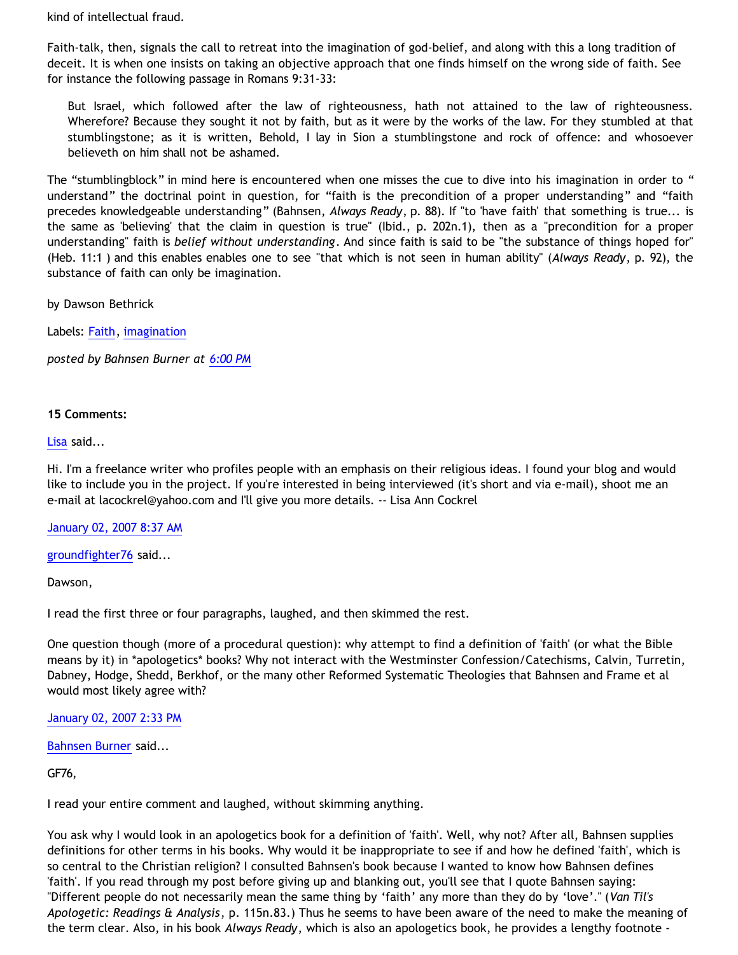kind of intellectual fraud.

Faith-talk, then, signals the call to retreat into the imagination of god-belief, and along with this a long tradition of deceit. It is when one insists on taking an objective approach that one finds himself on the wrong side of faith. See for instance the following passage in Romans 9:31-33:

But Israel, which followed after the law of righteousness, hath not attained to the law of righteousness. Wherefore? Because they sought it not by faith, but as it were by the works of the law. For they stumbled at that stumblingstone; as it is written, Behold, I lay in Sion a stumblingstone and rock of offence: and whosoever believeth on him shall not be ashamed.

The "stumblingblock" in mind here is encountered when one misses the cue to dive into his imagination in order to " understand" the doctrinal point in question, for "faith is the precondition of a proper understanding" and "faith precedes knowledgeable understanding" (Bahnsen, *Always Ready*, p. 88). If "to 'have faith' that something is true... is the same as 'believing' that the claim in question is true" (Ibid., p. 202n.1), then as a "precondition for a proper understanding" faith is *belief without understanding*. And since faith is said to be "the substance of things hoped for" (Heb. 11:1 ) and this enables enables one to see "that which is not seen in human ability" (*Always Ready*, p. 92), the substance of faith can only be imagination.

by Dawson Bethrick

Labels: [Faith](http://bahnsenburner.blogspot.com/search/label/Faith), [imagination](http://bahnsenburner.blogspot.com/search/label/imagination)

*posted by Bahnsen Burner at [6:00 PM](http://bahnsenburner.blogspot.com/2007/01/faith-as-belief-without-understanding.html)*

#### **15 Comments:**

[Lisa](http://www.blogger.com/profile/2719491) said...

Hi. I'm a freelance writer who profiles people with an emphasis on their religious ideas. I found your blog and would like to include you in the project. If you're interested in being interviewed (it's short and via e-mail), shoot me an e-mail at lacockrel@yahoo.com and I'll give you more details. -- Lisa Ann Cockrel

[January 02, 2007 8:37 AM](http://bahnsenburner.blogspot.com/2007/01/3971974160152149385)

[groundfighter76](http://www.blogger.com/profile/8210797) said...

Dawson,

I read the first three or four paragraphs, laughed, and then skimmed the rest.

One question though (more of a procedural question): why attempt to find a definition of 'faith' (or what the Bible means by it) in \*apologetics\* books? Why not interact with the Westminster Confession/Catechisms, Calvin, Turretin, Dabney, Hodge, Shedd, Berkhof, or the many other Reformed Systematic Theologies that Bahnsen and Frame et al would most likely agree with?

[January 02, 2007 2:33 PM](http://bahnsenburner.blogspot.com/2007/01/3828011995761235512)

[Bahnsen Burner](http://www.blogger.com/profile/11030029491768748360) said...

GF76,

I read your entire comment and laughed, without skimming anything.

You ask why I would look in an apologetics book for a definition of 'faith'. Well, why not? After all, Bahnsen supplies definitions for other terms in his books. Why would it be inappropriate to see if and how he defined 'faith', which is so central to the Christian religion? I consulted Bahnsen's book because I wanted to know how Bahnsen defines 'faith'. If you read through my post before giving up and blanking out, you'll see that I quote Bahnsen saying: "Different people do not necessarily mean the same thing by 'faith' any more than they do by 'love'." (*Van Til's Apologetic: Readings & Analysis*, p. 115n.83.) Thus he seems to have been aware of the need to make the meaning of the term clear. Also, in his book *Always Ready*, which is also an apologetics book, he provides a lengthy footnote -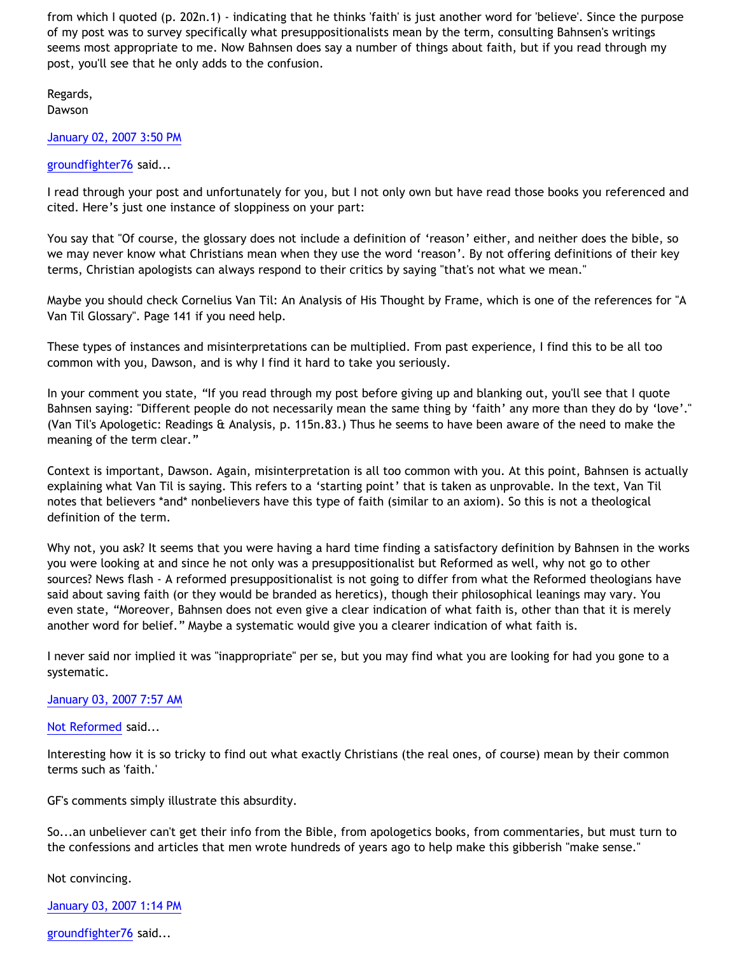from which I quoted (p. 202n.1) - indicating that he thinks 'faith' is just another word for 'believe'. Since the purpose of my post was to survey specifically what presuppositionalists mean by the term, consulting Bahnsen's writings seems most appropriate to me. Now Bahnsen does say a number of things about faith, but if you read through my post, you'll see that he only adds to the confusion.

Regards, Dawson

[January 02, 2007 3:50 PM](http://bahnsenburner.blogspot.com/2007/01/2976186804540768456)

# [groundfighter76](http://www.blogger.com/profile/8210797) said...

I read through your post and unfortunately for you, but I not only own but have read those books you referenced and cited. Here's just one instance of sloppiness on your part:

You say that "Of course, the glossary does not include a definition of 'reason' either, and neither does the bible, so we may never know what Christians mean when they use the word 'reason'. By not offering definitions of their key terms, Christian apologists can always respond to their critics by saying "that's not what we mean."

Maybe you should check Cornelius Van Til: An Analysis of His Thought by Frame, which is one of the references for "A Van Til Glossary". Page 141 if you need help.

These types of instances and misinterpretations can be multiplied. From past experience, I find this to be all too common with you, Dawson, and is why I find it hard to take you seriously.

In your comment you state, "If you read through my post before giving up and blanking out, you'll see that I quote Bahnsen saying: "Different people do not necessarily mean the same thing by 'faith' any more than they do by 'love'." (Van Til's Apologetic: Readings & Analysis, p. 115n.83.) Thus he seems to have been aware of the need to make the meaning of the term clear."

Context is important, Dawson. Again, misinterpretation is all too common with you. At this point, Bahnsen is actually explaining what Van Til is saying. This refers to a 'starting point' that is taken as unprovable. In the text, Van Til notes that believers \*and\* nonbelievers have this type of faith (similar to an axiom). So this is not a theological definition of the term.

Why not, you ask? It seems that you were having a hard time finding a satisfactory definition by Bahnsen in the works you were looking at and since he not only was a presuppositionalist but Reformed as well, why not go to other sources? News flash - A reformed presuppositionalist is not going to differ from what the Reformed theologians have said about saving faith (or they would be branded as heretics), though their philosophical leanings may vary. You even state, "Moreover, Bahnsen does not even give a clear indication of what faith is, other than that it is merely another word for belief." Maybe a systematic would give you a clearer indication of what faith is.

I never said nor implied it was "inappropriate" per se, but you may find what you are looking for had you gone to a systematic.

# [January 03, 2007 7:57 AM](http://bahnsenburner.blogspot.com/2007/01/5445908023599036296)

# [Not Reformed](http://www.blogger.com/profile/8159639) said...

Interesting how it is so tricky to find out what exactly Christians (the real ones, of course) mean by their common terms such as 'faith.'

GF's comments simply illustrate this absurdity.

So...an unbeliever can't get their info from the Bible, from apologetics books, from commentaries, but must turn to the confessions and articles that men wrote hundreds of years ago to help make this gibberish "make sense."

Not convincing.

[January 03, 2007 1:14 PM](http://bahnsenburner.blogspot.com/2007/01/3437393811485377556)

[groundfighter76](http://www.blogger.com/profile/8210797) said...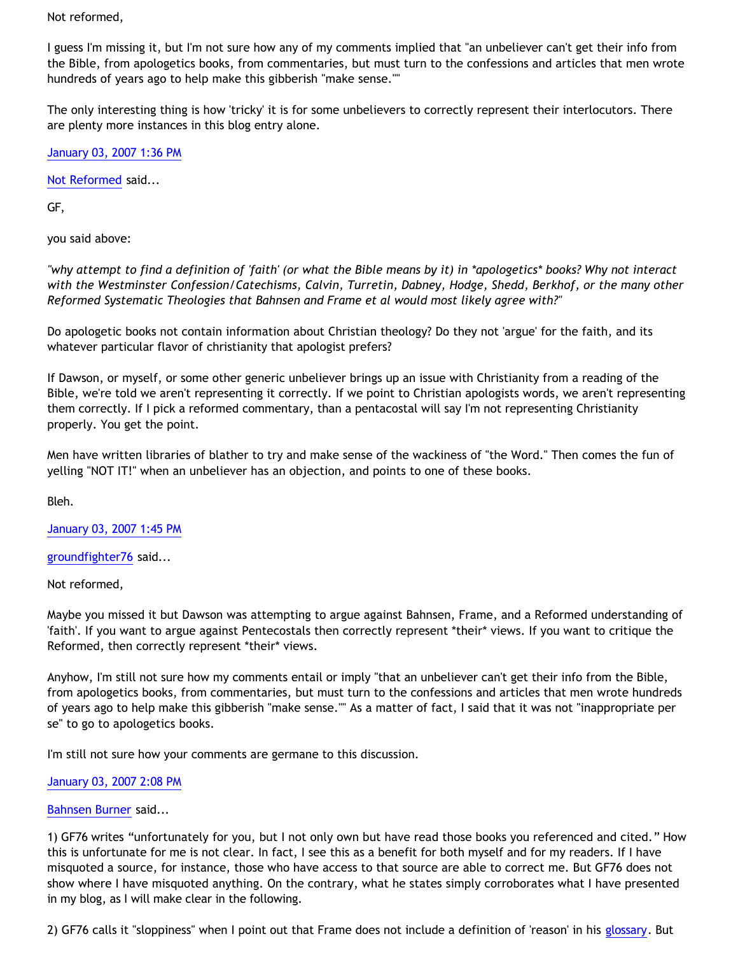Not reformed,

I guess I'm missing it, but I'm not sure how any of my comments implied that "an unbeliever can't get their info from the Bible, from apologetics books, from commentaries, but must turn to the confessions and articles that men wrote hundreds of years ago to help make this gibberish "make sense.""

The only interesting thing is how 'tricky' it is for some unbelievers to correctly represent their interlocutors. There are plenty more instances in this blog entry alone.

[January 03, 2007 1:36 PM](http://bahnsenburner.blogspot.com/2007/01/4647611329807140735)

[Not Reformed](http://www.blogger.com/profile/8159639) said...

GF,

you said above:

*"why attempt to find a definition of 'faith' (or what the Bible means by it) in \*apologetics\* books? Why not interact with the Westminster Confession/Catechisms, Calvin, Turretin, Dabney, Hodge, Shedd, Berkhof, or the many other Reformed Systematic Theologies that Bahnsen and Frame et al would most likely agree with?"*

Do apologetic books not contain information about Christian theology? Do they not 'argue' for the faith, and its whatever particular flavor of christianity that apologist prefers?

If Dawson, or myself, or some other generic unbeliever brings up an issue with Christianity from a reading of the Bible, we're told we aren't representing it correctly. If we point to Christian apologists words, we aren't representing them correctly. If I pick a reformed commentary, than a pentacostal will say I'm not representing Christianity properly. You get the point.

Men have written libraries of blather to try and make sense of the wackiness of "the Word." Then comes the fun of yelling "NOT IT!" when an unbeliever has an objection, and points to one of these books.

Bleh.

[January 03, 2007 1:45 PM](http://bahnsenburner.blogspot.com/2007/01/3006500458712816441)

[groundfighter76](http://www.blogger.com/profile/8210797) said...

Not reformed,

Maybe you missed it but Dawson was attempting to argue against Bahnsen, Frame, and a Reformed understanding of 'faith'. If you want to argue against Pentecostals then correctly represent \*their\* views. If you want to critique the Reformed, then correctly represent \*their\* views.

Anyhow, I'm still not sure how my comments entail or imply "that an unbeliever can't get their info from the Bible, from apologetics books, from commentaries, but must turn to the confessions and articles that men wrote hundreds of years ago to help make this gibberish "make sense."" As a matter of fact, I said that it was not "inappropriate per se" to go to apologetics books.

I'm still not sure how your comments are germane to this discussion.

[January 03, 2007 2:08 PM](http://bahnsenburner.blogspot.com/2007/01/6580053305784347157)

[Bahnsen Burner](http://www.blogger.com/profile/11030029491768748360) said...

1) GF76 writes "unfortunately for you, but I not only own but have read those books you referenced and cited." How this is unfortunate for me is not clear. In fact, I see this as a benefit for both myself and for my readers. If I have misquoted a source, for instance, those who have access to that source are able to correct me. But GF76 does not show where I have misquoted anything. On the contrary, what he states simply corroborates what I have presented in my blog, as I will make clear in the following.

2) GF76 calls it "sloppiness" when I point out that Frame does not include a definition of 'reason' in his [glossary.](http://www.frame-poythress.org/frame_articles/2000VanTilGlossary.html) But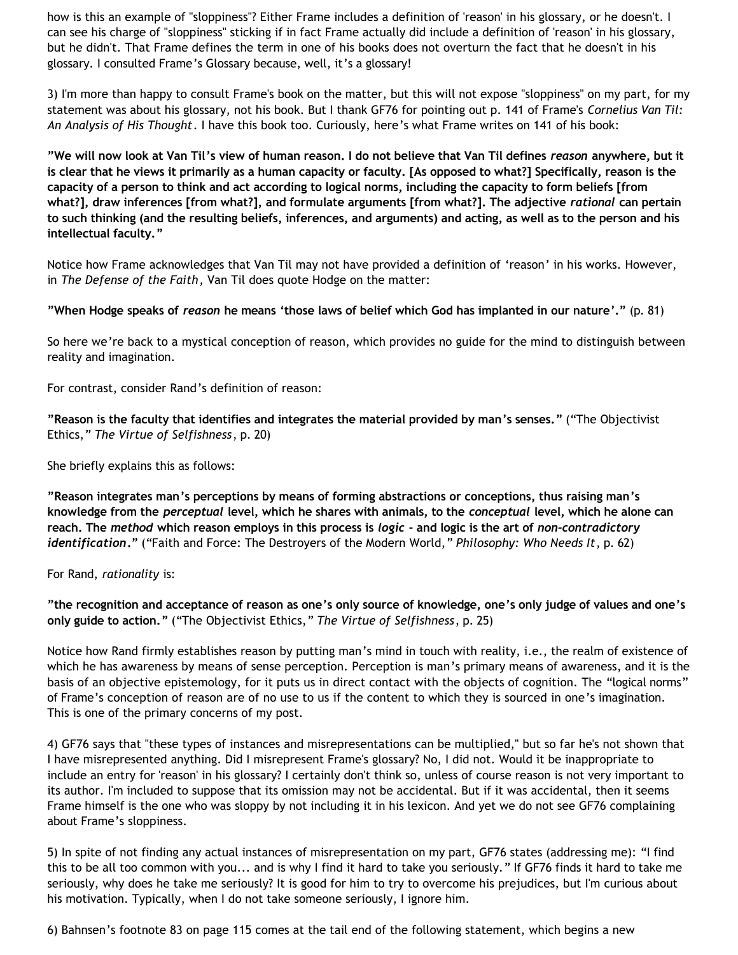how is this an example of "sloppiness"? Either Frame includes a definition of 'reason' in his glossary, or he doesn't. I can see his charge of "sloppiness" sticking if in fact Frame actually did include a definition of 'reason' in his glossary, but he didn't. That Frame defines the term in one of his books does not overturn the fact that he doesn't in his glossary. I consulted Frame's Glossary because, well, it's a glossary!

3) I'm more than happy to consult Frame's book on the matter, but this will not expose "sloppiness" on my part, for my statement was about his glossary, not his book. But I thank GF76 for pointing out p. 141 of Frame's *Cornelius Van Til: An Analysis of His Thought*. I have this book too. Curiously, here's what Frame writes on 141 of his book:

**"We will now look at Van Til's view of human reason. I do not believe that Van Til defines** *reason* **anywhere, but it is clear that he views it primarily as a human capacity or faculty. [As opposed to what?] Specifically, reason is the capacity of a person to think and act according to logical norms, including the capacity to form beliefs [from what?], draw inferences [from what?], and formulate arguments [from what?]. The adjective** *rational* **can pertain to such thinking (and the resulting beliefs, inferences, and arguments) and acting, as well as to the person and his intellectual faculty."**

Notice how Frame acknowledges that Van Til may not have provided a definition of 'reason' in his works. However, in *The Defense of the Faith*, Van Til does quote Hodge on the matter:

**"When Hodge speaks of** *reason* **he means 'those laws of belief which God has implanted in our nature'."** (p. 81)

So here we're back to a mystical conception of reason, which provides no guide for the mind to distinguish between reality and imagination.

For contrast, consider Rand's definition of reason:

**"Reason is the faculty that identifies and integrates the material provided by man's senses."** ("The Objectivist Ethics," *The Virtue of Selfishness*, p. 20)

She briefly explains this as follows:

**"Reason integrates man's perceptions by means of forming abstractions or conceptions, thus raising man's knowledge from the** *perceptual* **level, which he shares with animals, to the** *conceptual* **level, which he alone can reach. The** *method* **which reason employs in this process is** *logic* **- and logic is the art of** *non-contradictory identification***."** ("Faith and Force: The Destroyers of the Modern World," *Philosophy: Who Needs It*, p. 62)

For Rand, *rationality* is:

**"the recognition and acceptance of reason as one's only source of knowledge, one's only judge of values and one's only guide to action."** ("The Objectivist Ethics," *The Virtue of Selfishness*, p. 25)

Notice how Rand firmly establishes reason by putting man's mind in touch with reality, i.e., the realm of existence of which he has awareness by means of sense perception. Perception is man's primary means of awareness, and it is the basis of an objective epistemology, for it puts us in direct contact with the objects of cognition. The "logical norms" of Frame's conception of reason are of no use to us if the content to which they is sourced in one's imagination. This is one of the primary concerns of my post.

4) GF76 says that "these types of instances and misrepresentations can be multiplied," but so far he's not shown that I have misrepresented anything. Did I misrepresent Frame's glossary? No, I did not. Would it be inappropriate to include an entry for 'reason' in his glossary? I certainly don't think so, unless of course reason is not very important to its author. I'm included to suppose that its omission may not be accidental. But if it was accidental, then it seems Frame himself is the one who was sloppy by not including it in his lexicon. And yet we do not see GF76 complaining about Frame's sloppiness.

5) In spite of not finding any actual instances of misrepresentation on my part, GF76 states (addressing me): "I find this to be all too common with you... and is why I find it hard to take you seriously." If GF76 finds it hard to take me seriously, why does he take me seriously? It is good for him to try to overcome his prejudices, but I'm curious about his motivation. Typically, when I do not take someone seriously, I ignore him.

6) Bahnsen's footnote 83 on page 115 comes at the tail end of the following statement, which begins a new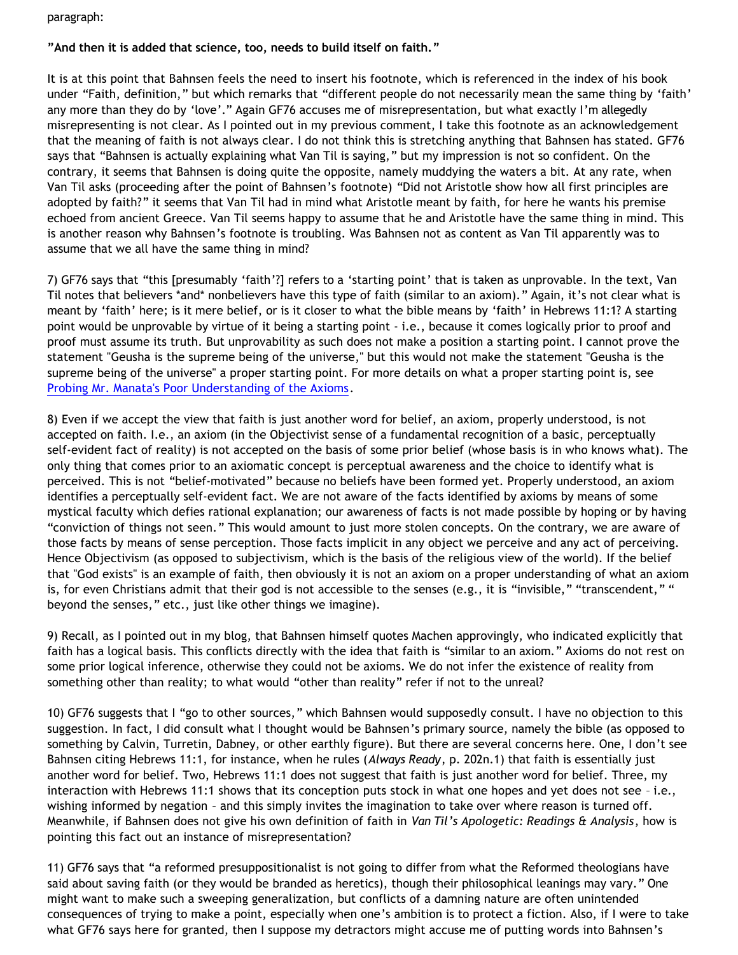paragraph:

# **"And then it is added that science, too, needs to build itself on faith."**

It is at this point that Bahnsen feels the need to insert his footnote, which is referenced in the index of his book under "Faith, definition," but which remarks that "different people do not necessarily mean the same thing by 'faith' any more than they do by 'love'." Again GF76 accuses me of misrepresentation, but what exactly I'm allegedly misrepresenting is not clear. As I pointed out in my previous comment, I take this footnote as an acknowledgement that the meaning of faith is not always clear. I do not think this is stretching anything that Bahnsen has stated. GF76 says that "Bahnsen is actually explaining what Van Til is saying," but my impression is not so confident. On the contrary, it seems that Bahnsen is doing quite the opposite, namely muddying the waters a bit. At any rate, when Van Til asks (proceeding after the point of Bahnsen's footnote) "Did not Aristotle show how all first principles are adopted by faith?" it seems that Van Til had in mind what Aristotle meant by faith, for here he wants his premise echoed from ancient Greece. Van Til seems happy to assume that he and Aristotle have the same thing in mind. This is another reason why Bahnsen's footnote is troubling. Was Bahnsen not as content as Van Til apparently was to assume that we all have the same thing in mind?

7) GF76 says that "this [presumably 'faith'?] refers to a 'starting point' that is taken as unprovable. In the text, Van Til notes that believers \*and\* nonbelievers have this type of faith (similar to an axiom)." Again, it's not clear what is meant by 'faith' here; is it mere belief, or is it closer to what the bible means by 'faith' in Hebrews 11:1? A starting point would be unprovable by virtue of it being a starting point - i.e., because it comes logically prior to proof and proof must assume its truth. But unprovability as such does not make a position a starting point. I cannot prove the statement "Geusha is the supreme being of the universe," but this would not make the statement "Geusha is the supreme being of the universe" a proper starting point. For more details on what a proper starting point is, see [Probing Mr. Manata's Poor Understanding of the Axioms](http://bahnsenburner.blogspot.com/2005/10/probing-mr-manatas-poor-understanding.html).

8) Even if we accept the view that faith is just another word for belief, an axiom, properly understood, is not accepted on faith. I.e., an axiom (in the Objectivist sense of a fundamental recognition of a basic, perceptually self-evident fact of reality) is not accepted on the basis of some prior belief (whose basis is in who knows what). The only thing that comes prior to an axiomatic concept is perceptual awareness and the choice to identify what is perceived. This is not "belief-motivated" because no beliefs have been formed yet. Properly understood, an axiom identifies a perceptually self-evident fact. We are not aware of the facts identified by axioms by means of some mystical faculty which defies rational explanation; our awareness of facts is not made possible by hoping or by having "conviction of things not seen." This would amount to just more stolen concepts. On the contrary, we are aware of those facts by means of sense perception. Those facts implicit in any object we perceive and any act of perceiving. Hence Objectivism (as opposed to subjectivism, which is the basis of the religious view of the world). If the belief that "God exists" is an example of faith, then obviously it is not an axiom on a proper understanding of what an axiom is, for even Christians admit that their god is not accessible to the senses (e.g., it is "invisible," "transcendent," " beyond the senses," etc., just like other things we imagine).

9) Recall, as I pointed out in my blog, that Bahnsen himself quotes Machen approvingly, who indicated explicitly that faith has a logical basis. This conflicts directly with the idea that faith is "similar to an axiom." Axioms do not rest on some prior logical inference, otherwise they could not be axioms. We do not infer the existence of reality from something other than reality; to what would "other than reality" refer if not to the unreal?

10) GF76 suggests that I "go to other sources," which Bahnsen would supposedly consult. I have no objection to this suggestion. In fact, I did consult what I thought would be Bahnsen's primary source, namely the bible (as opposed to something by Calvin, Turretin, Dabney, or other earthly figure). But there are several concerns here. One, I don't see Bahnsen citing Hebrews 11:1, for instance, when he rules (*Always Ready*, p. 202n.1) that faith is essentially just another word for belief. Two, Hebrews 11:1 does not suggest that faith is just another word for belief. Three, my interaction with Hebrews 11:1 shows that its conception puts stock in what one hopes and yet does not see – i.e., wishing informed by negation – and this simply invites the imagination to take over where reason is turned off. Meanwhile, if Bahnsen does not give his own definition of faith in *Van Til's Apologetic: Readings & Analysis*, how is pointing this fact out an instance of misrepresentation?

11) GF76 says that "a reformed presuppositionalist is not going to differ from what the Reformed theologians have said about saving faith (or they would be branded as heretics), though their philosophical leanings may vary." One might want to make such a sweeping generalization, but conflicts of a damning nature are often unintended consequences of trying to make a point, especially when one's ambition is to protect a fiction. Also, if I were to take what GF76 says here for granted, then I suppose my detractors might accuse me of putting words into Bahnsen's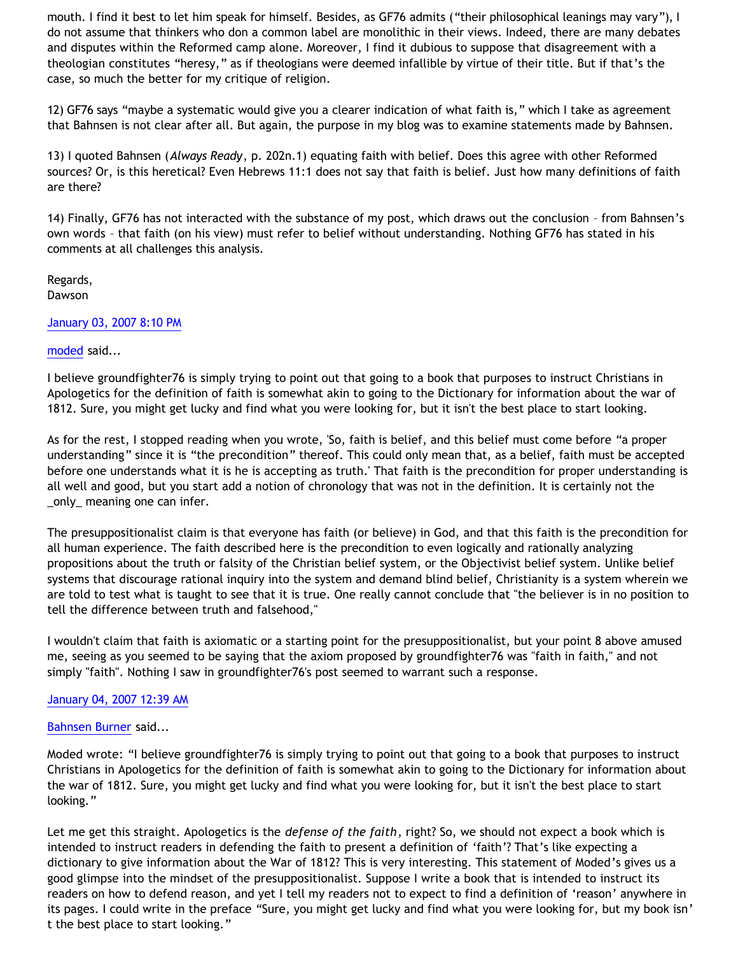mouth. I find it best to let him speak for himself. Besides, as GF76 admits ("their philosophical leanings may vary"), I do not assume that thinkers who don a common label are monolithic in their views. Indeed, there are many debates and disputes within the Reformed camp alone. Moreover, I find it dubious to suppose that disagreement with a theologian constitutes "heresy," as if theologians were deemed infallible by virtue of their title. But if that's the case, so much the better for my critique of religion.

12) GF76 says "maybe a systematic would give you a clearer indication of what faith is," which I take as agreement that Bahnsen is not clear after all. But again, the purpose in my blog was to examine statements made by Bahnsen.

13) I quoted Bahnsen (*Always Ready*, p. 202n.1) equating faith with belief. Does this agree with other Reformed sources? Or, is this heretical? Even Hebrews 11:1 does not say that faith is belief. Just how many definitions of faith are there?

14) Finally, GF76 has not interacted with the substance of my post, which draws out the conclusion – from Bahnsen's own words – that faith (on his view) must refer to belief without understanding. Nothing GF76 has stated in his comments at all challenges this analysis.

Regards, Dawson

#### [January 03, 2007 8:10 PM](http://bahnsenburner.blogspot.com/2007/01/5262954491034961950)

# [moded](http://www.blogger.com/profile/17118958970216180780) said...

I believe groundfighter76 is simply trying to point out that going to a book that purposes to instruct Christians in Apologetics for the definition of faith is somewhat akin to going to the Dictionary for information about the war of 1812. Sure, you might get lucky and find what you were looking for, but it isn't the best place to start looking.

As for the rest, I stopped reading when you wrote, 'So, faith is belief, and this belief must come before "a proper understanding" since it is "the precondition" thereof. This could only mean that, as a belief, faith must be accepted before one understands what it is he is accepting as truth.' That faith is the precondition for proper understanding is all well and good, but you start add a notion of chronology that was not in the definition. It is certainly not the \_only\_ meaning one can infer.

The presuppositionalist claim is that everyone has faith (or believe) in God, and that this faith is the precondition for all human experience. The faith described here is the precondition to even logically and rationally analyzing propositions about the truth or falsity of the Christian belief system, or the Objectivist belief system. Unlike belief systems that discourage rational inquiry into the system and demand blind belief, Christianity is a system wherein we are told to test what is taught to see that it is true. One really cannot conclude that "the believer is in no position to tell the difference between truth and falsehood,"

I wouldn't claim that faith is axiomatic or a starting point for the presuppositionalist, but your point 8 above amused me, seeing as you seemed to be saying that the axiom proposed by groundfighter76 was "faith in faith," and not simply "faith". Nothing I saw in groundfighter76's post seemed to warrant such a response.

# [January 04, 2007 12:39 AM](http://bahnsenburner.blogspot.com/2007/01/639516413050393739)

#### [Bahnsen Burner](http://www.blogger.com/profile/11030029491768748360) said...

Moded wrote: "I believe groundfighter76 is simply trying to point out that going to a book that purposes to instruct Christians in Apologetics for the definition of faith is somewhat akin to going to the Dictionary for information about the war of 1812. Sure, you might get lucky and find what you were looking for, but it isn't the best place to start looking."

Let me get this straight. Apologetics is the *defense of the faith*, right? So, we should not expect a book which is intended to instruct readers in defending the faith to present a definition of 'faith'? That's like expecting a dictionary to give information about the War of 1812? This is very interesting. This statement of Moded's gives us a good glimpse into the mindset of the presuppositionalist. Suppose I write a book that is intended to instruct its readers on how to defend reason, and yet I tell my readers not to expect to find a definition of 'reason' anywhere in its pages. I could write in the preface "Sure, you might get lucky and find what you were looking for, but my book isn' t the best place to start looking."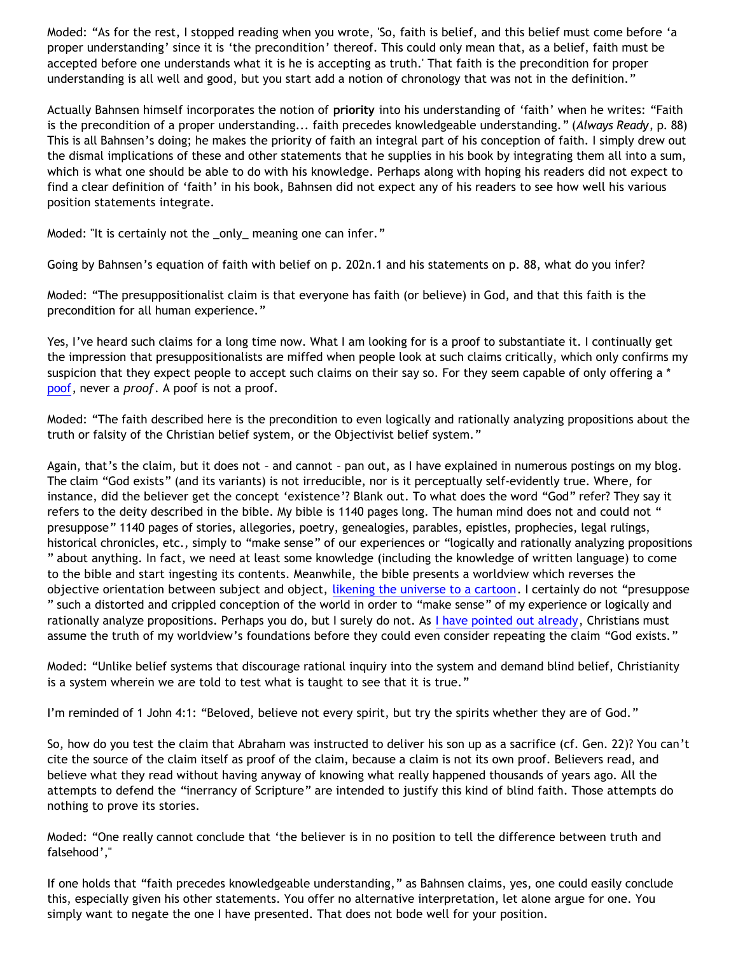Moded: "As for the rest, I stopped reading when you wrote, 'So, faith is belief, and this belief must come before 'a proper understanding' since it is 'the precondition' thereof. This could only mean that, as a belief, faith must be accepted before one understands what it is he is accepting as truth.' That faith is the precondition for proper understanding is all well and good, but you start add a notion of chronology that was not in the definition."

Actually Bahnsen himself incorporates the notion of **priority** into his understanding of 'faith' when he writes: "Faith is the precondition of a proper understanding... faith precedes knowledgeable understanding." (*Always Ready*, p. 88) This is all Bahnsen's doing; he makes the priority of faith an integral part of his conception of faith. I simply drew out the dismal implications of these and other statements that he supplies in his book by integrating them all into a sum, which is what one should be able to do with his knowledge. Perhaps along with hoping his readers did not expect to find a clear definition of 'faith' in his book, Bahnsen did not expect any of his readers to see how well his various position statements integrate.

Moded: "It is certainly not the \_only\_ meaning one can infer."

Going by Bahnsen's equation of faith with belief on p. 202n.1 and his statements on p. 88, what do you infer?

Moded: "The presuppositionalist claim is that everyone has faith (or believe) in God, and that this faith is the precondition for all human experience."

Yes, I've heard such claims for a long time now. What I am looking for is a proof to substantiate it. I continually get the impression that presuppositionalists are miffed when people look at such claims critically, which only confirms my suspicion that they expect people to accept such claims on their say so. For they seem capable of only offering a \* [poof,](http://bahnsenburner.blogspot.com/2005/03/bahnsens-poof.html) never a *proof*. A poof is not a proof.

Moded: "The faith described here is the precondition to even logically and rationally analyzing propositions about the truth or falsity of the Christian belief system, or the Objectivist belief system."

Again, that's the claim, but it does not – and cannot – pan out, as I have explained in numerous postings on my blog. The claim "God exists" (and its variants) is not irreducible, nor is it perceptually self-evidently true. Where, for instance, did the believer get the concept 'existence'? Blank out. To what does the word "God" refer? They say it refers to the deity described in the bible. My bible is 1140 pages long. The human mind does not and could not " presuppose" 1140 pages of stories, allegories, poetry, genealogies, parables, epistles, prophecies, legal rulings, historical chronicles, etc., simply to "make sense" of our experiences or "logically and rationally analyzing propositions " about anything. In fact, we need at least some knowledge (including the knowledge of written language) to come to the bible and start ingesting its contents. Meanwhile, the bible presents a worldview which reverses the objective orientation between subject and object, [likening the universe to a cartoon](http://bahnsenburner.blogspot.com/2005/03/cartoon-universe-of-theism.html). I certainly do not "presuppose " such a distorted and crippled conception of the world in order to "make sense" of my experience or logically and rationally analyze propositions. Perhaps you do, but I surely do not. As [I have pointed out already](http://bahnsenburner.blogspot.com/2006/07/theism-and-its-piggyback-starting.html), Christians must assume the truth of my worldview's foundations before they could even consider repeating the claim "God exists."

Moded: "Unlike belief systems that discourage rational inquiry into the system and demand blind belief, Christianity is a system wherein we are told to test what is taught to see that it is true."

I'm reminded of 1 John 4:1: "Beloved, believe not every spirit, but try the spirits whether they are of God."

So, how do you test the claim that Abraham was instructed to deliver his son up as a sacrifice (cf. Gen. 22)? You can't cite the source of the claim itself as proof of the claim, because a claim is not its own proof. Believers read, and believe what they read without having anyway of knowing what really happened thousands of years ago. All the attempts to defend the "inerrancy of Scripture" are intended to justify this kind of blind faith. Those attempts do nothing to prove its stories.

Moded: "One really cannot conclude that 'the believer is in no position to tell the difference between truth and falsehood',"

If one holds that "faith precedes knowledgeable understanding," as Bahnsen claims, yes, one could easily conclude this, especially given his other statements. You offer no alternative interpretation, let alone argue for one. You simply want to negate the one I have presented. That does not bode well for your position.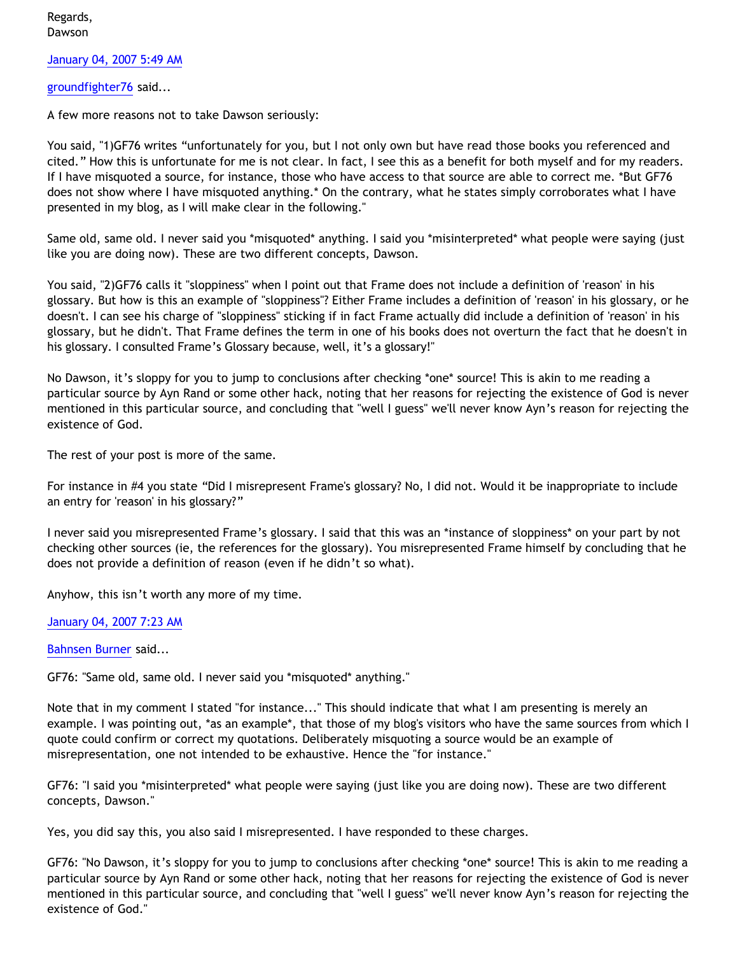Regards, Dawson

[January 04, 2007 5:49 AM](http://bahnsenburner.blogspot.com/2007/01/3557417778090728885)

[groundfighter76](http://www.blogger.com/profile/8210797) said...

A few more reasons not to take Dawson seriously:

You said, "1)GF76 writes "unfortunately for you, but I not only own but have read those books you referenced and cited." How this is unfortunate for me is not clear. In fact, I see this as a benefit for both myself and for my readers. If I have misquoted a source, for instance, those who have access to that source are able to correct me. \*But GF76 does not show where I have misquoted anything.\* On the contrary, what he states simply corroborates what I have presented in my blog, as I will make clear in the following."

Same old, same old. I never said you \*misquoted\* anything. I said you \*misinterpreted\* what people were saying (just like you are doing now). These are two different concepts, Dawson.

You said, "2)GF76 calls it "sloppiness" when I point out that Frame does not include a definition of 'reason' in his glossary. But how is this an example of "sloppiness"? Either Frame includes a definition of 'reason' in his glossary, or he doesn't. I can see his charge of "sloppiness" sticking if in fact Frame actually did include a definition of 'reason' in his glossary, but he didn't. That Frame defines the term in one of his books does not overturn the fact that he doesn't in his glossary. I consulted Frame's Glossary because, well, it's a glossary!"

No Dawson, it's sloppy for you to jump to conclusions after checking \*one\* source! This is akin to me reading a particular source by Ayn Rand or some other hack, noting that her reasons for rejecting the existence of God is never mentioned in this particular source, and concluding that "well I guess" we'll never know Ayn's reason for rejecting the existence of God.

The rest of your post is more of the same.

For instance in #4 you state "Did I misrepresent Frame's glossary? No, I did not. Would it be inappropriate to include an entry for 'reason' in his glossary?"

I never said you misrepresented Frame's glossary. I said that this was an \*instance of sloppiness\* on your part by not checking other sources (ie, the references for the glossary). You misrepresented Frame himself by concluding that he does not provide a definition of reason (even if he didn't so what).

Anyhow, this isn't worth any more of my time.

[January 04, 2007 7:23 AM](http://bahnsenburner.blogspot.com/2007/01/7771090238568224321)

[Bahnsen Burner](http://www.blogger.com/profile/11030029491768748360) said...

GF76: "Same old, same old. I never said you \*misquoted\* anything."

Note that in my comment I stated "for instance..." This should indicate that what I am presenting is merely an example. I was pointing out, \*as an example\*, that those of my blog's visitors who have the same sources from which I quote could confirm or correct my quotations. Deliberately misquoting a source would be an example of misrepresentation, one not intended to be exhaustive. Hence the "for instance."

GF76: "I said you \*misinterpreted\* what people were saying (just like you are doing now). These are two different concepts, Dawson."

Yes, you did say this, you also said I misrepresented. I have responded to these charges.

GF76: "No Dawson, it's sloppy for you to jump to conclusions after checking \*one\* source! This is akin to me reading a particular source by Ayn Rand or some other hack, noting that her reasons for rejecting the existence of God is never mentioned in this particular source, and concluding that "well I guess" we'll never know Ayn's reason for rejecting the existence of God."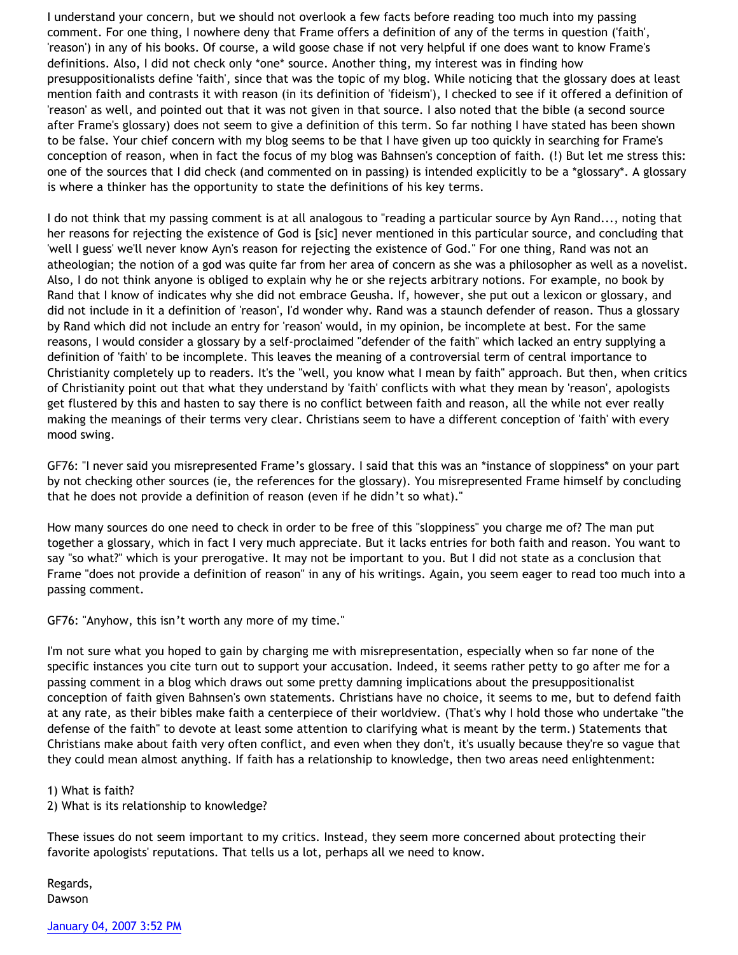I understand your concern, but we should not overlook a few facts before reading too much into my passing comment. For one thing, I nowhere deny that Frame offers a definition of any of the terms in question ('faith', 'reason') in any of his books. Of course, a wild goose chase if not very helpful if one does want to know Frame's definitions. Also, I did not check only \*one\* source. Another thing, my interest was in finding how presuppositionalists define 'faith', since that was the topic of my blog. While noticing that the glossary does at least mention faith and contrasts it with reason (in its definition of 'fideism'), I checked to see if it offered a definition of 'reason' as well, and pointed out that it was not given in that source. I also noted that the bible (a second source after Frame's glossary) does not seem to give a definition of this term. So far nothing I have stated has been shown to be false. Your chief concern with my blog seems to be that I have given up too quickly in searching for Frame's conception of reason, when in fact the focus of my blog was Bahnsen's conception of faith. (!) But let me stress this: one of the sources that I did check (and commented on in passing) is intended explicitly to be a \*glossary\*. A glossary is where a thinker has the opportunity to state the definitions of his key terms.

I do not think that my passing comment is at all analogous to "reading a particular source by Ayn Rand..., noting that her reasons for rejecting the existence of God is [sic] never mentioned in this particular source, and concluding that 'well I guess' we'll never know Ayn's reason for rejecting the existence of God." For one thing, Rand was not an atheologian; the notion of a god was quite far from her area of concern as she was a philosopher as well as a novelist. Also, I do not think anyone is obliged to explain why he or she rejects arbitrary notions. For example, no book by Rand that I know of indicates why she did not embrace Geusha. If, however, she put out a lexicon or glossary, and did not include in it a definition of 'reason', I'd wonder why. Rand was a staunch defender of reason. Thus a glossary by Rand which did not include an entry for 'reason' would, in my opinion, be incomplete at best. For the same reasons, I would consider a glossary by a self-proclaimed "defender of the faith" which lacked an entry supplying a definition of 'faith' to be incomplete. This leaves the meaning of a controversial term of central importance to Christianity completely up to readers. It's the "well, you know what I mean by faith" approach. But then, when critics of Christianity point out that what they understand by 'faith' conflicts with what they mean by 'reason', apologists get flustered by this and hasten to say there is no conflict between faith and reason, all the while not ever really making the meanings of their terms very clear. Christians seem to have a different conception of 'faith' with every mood swing.

GF76: "I never said you misrepresented Frame's glossary. I said that this was an \*instance of sloppiness\* on your part by not checking other sources (ie, the references for the glossary). You misrepresented Frame himself by concluding that he does not provide a definition of reason (even if he didn't so what)."

How many sources do one need to check in order to be free of this "sloppiness" you charge me of? The man put together a glossary, which in fact I very much appreciate. But it lacks entries for both faith and reason. You want to say "so what?" which is your prerogative. It may not be important to you. But I did not state as a conclusion that Frame "does not provide a definition of reason" in any of his writings. Again, you seem eager to read too much into a passing comment.

GF76: "Anyhow, this isn't worth any more of my time."

I'm not sure what you hoped to gain by charging me with misrepresentation, especially when so far none of the specific instances you cite turn out to support your accusation. Indeed, it seems rather petty to go after me for a passing comment in a blog which draws out some pretty damning implications about the presuppositionalist conception of faith given Bahnsen's own statements. Christians have no choice, it seems to me, but to defend faith at any rate, as their bibles make faith a centerpiece of their worldview. (That's why I hold those who undertake "the defense of the faith" to devote at least some attention to clarifying what is meant by the term.) Statements that Christians make about faith very often conflict, and even when they don't, it's usually because they're so vague that they could mean almost anything. If faith has a relationship to knowledge, then two areas need enlightenment:

1) What is faith?

2) What is its relationship to knowledge?

These issues do not seem important to my critics. Instead, they seem more concerned about protecting their favorite apologists' reputations. That tells us a lot, perhaps all we need to know.

Regards, Dawson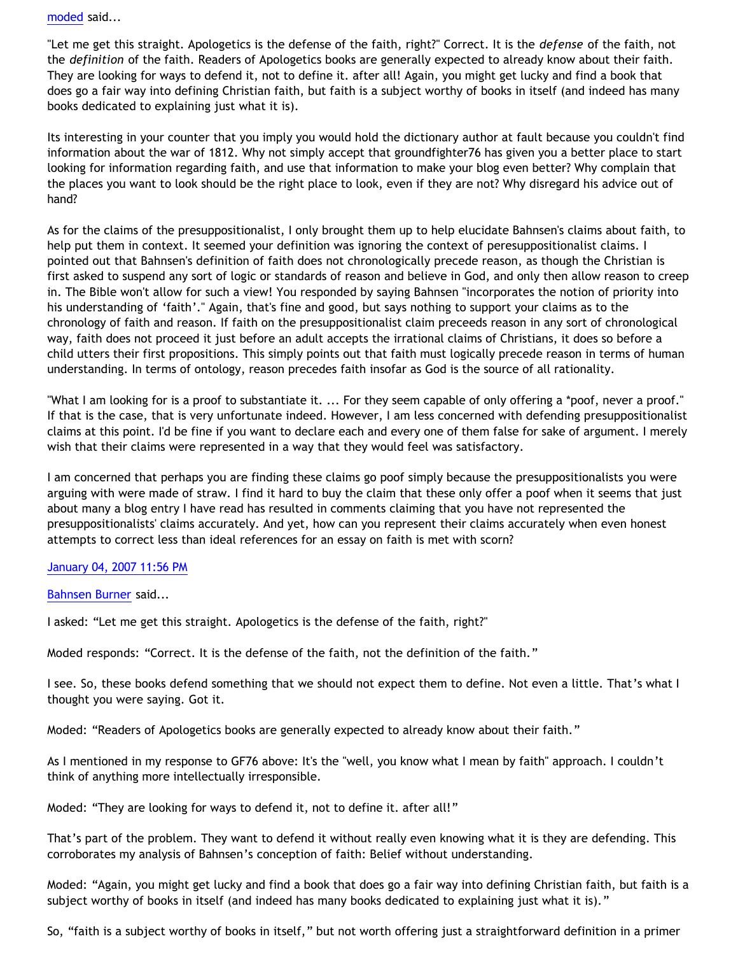[moded](http://www.blogger.com/profile/17118958970216180780) said...

"Let me get this straight. Apologetics is the defense of the faith, right?" Correct. It is the *defense* of the faith, not the *definition* of the faith. Readers of Apologetics books are generally expected to already know about their faith. They are looking for ways to defend it, not to define it. after all! Again, you might get lucky and find a book that does go a fair way into defining Christian faith, but faith is a subject worthy of books in itself (and indeed has many books dedicated to explaining just what it is).

Its interesting in your counter that you imply you would hold the dictionary author at fault because you couldn't find information about the war of 1812. Why not simply accept that groundfighter76 has given you a better place to start looking for information regarding faith, and use that information to make your blog even better? Why complain that the places you want to look should be the right place to look, even if they are not? Why disregard his advice out of hand?

As for the claims of the presuppositionalist, I only brought them up to help elucidate Bahnsen's claims about faith, to help put them in context. It seemed your definition was ignoring the context of peresuppositionalist claims. I pointed out that Bahnsen's definition of faith does not chronologically precede reason, as though the Christian is first asked to suspend any sort of logic or standards of reason and believe in God, and only then allow reason to creep in. The Bible won't allow for such a view! You responded by saying Bahnsen "incorporates the notion of priority into his understanding of 'faith'." Again, that's fine and good, but says nothing to support your claims as to the chronology of faith and reason. If faith on the presuppositionalist claim preceeds reason in any sort of chronological way, faith does not proceed it just before an adult accepts the irrational claims of Christians, it does so before a child utters their first propositions. This simply points out that faith must logically precede reason in terms of human understanding. In terms of ontology, reason precedes faith insofar as God is the source of all rationality.

"What I am looking for is a proof to substantiate it. ... For they seem capable of only offering a \*poof, never a proof." If that is the case, that is very unfortunate indeed. However, I am less concerned with defending presuppositionalist claims at this point. I'd be fine if you want to declare each and every one of them false for sake of argument. I merely wish that their claims were represented in a way that they would feel was satisfactory.

I am concerned that perhaps you are finding these claims go poof simply because the presuppositionalists you were arguing with were made of straw. I find it hard to buy the claim that these only offer a poof when it seems that just about many a blog entry I have read has resulted in comments claiming that you have not represented the presuppositionalists' claims accurately. And yet, how can you represent their claims accurately when even honest attempts to correct less than ideal references for an essay on faith is met with scorn?

# [January 04, 2007 11:56 PM](http://bahnsenburner.blogspot.com/2007/01/2215229182898138498)

[Bahnsen Burner](http://www.blogger.com/profile/11030029491768748360) said...

I asked: "Let me get this straight. Apologetics is the defense of the faith, right?"

Moded responds: "Correct. It is the defense of the faith, not the definition of the faith."

I see. So, these books defend something that we should not expect them to define. Not even a little. That's what I thought you were saying. Got it.

Moded: "Readers of Apologetics books are generally expected to already know about their faith."

As I mentioned in my response to GF76 above: It's the "well, you know what I mean by faith" approach. I couldn't think of anything more intellectually irresponsible.

Moded: "They are looking for ways to defend it, not to define it. after all!"

That's part of the problem. They want to defend it without really even knowing what it is they are defending. This corroborates my analysis of Bahnsen's conception of faith: Belief without understanding.

Moded: "Again, you might get lucky and find a book that does go a fair way into defining Christian faith, but faith is a subject worthy of books in itself (and indeed has many books dedicated to explaining just what it is)."

So, "faith is a subject worthy of books in itself," but not worth offering just a straightforward definition in a primer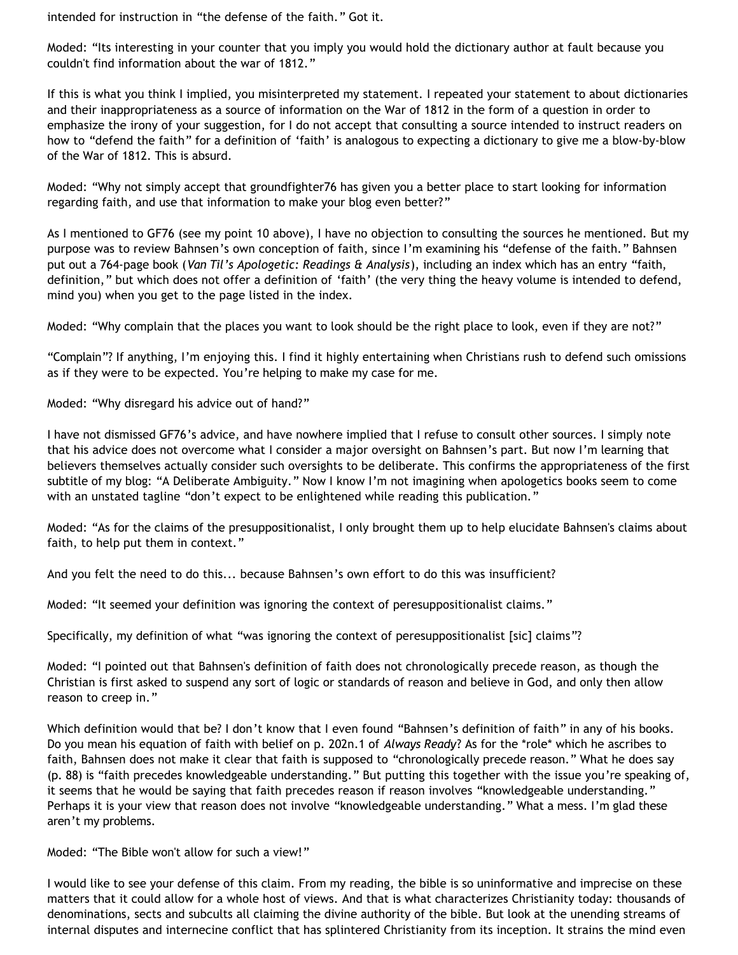intended for instruction in "the defense of the faith." Got it.

Moded: "Its interesting in your counter that you imply you would hold the dictionary author at fault because you couldn't find information about the war of 1812."

If this is what you think I implied, you misinterpreted my statement. I repeated your statement to about dictionaries and their inappropriateness as a source of information on the War of 1812 in the form of a question in order to emphasize the irony of your suggestion, for I do not accept that consulting a source intended to instruct readers on how to "defend the faith" for a definition of 'faith' is analogous to expecting a dictionary to give me a blow-by-blow of the War of 1812. This is absurd.

Moded: "Why not simply accept that groundfighter76 has given you a better place to start looking for information regarding faith, and use that information to make your blog even better?"

As I mentioned to GF76 (see my point 10 above), I have no objection to consulting the sources he mentioned. But my purpose was to review Bahnsen's own conception of faith, since I'm examining his "defense of the faith." Bahnsen put out a 764-page book (*Van Til's Apologetic: Readings & Analysis*), including an index which has an entry "faith, definition," but which does not offer a definition of 'faith' (the very thing the heavy volume is intended to defend, mind you) when you get to the page listed in the index.

Moded: "Why complain that the places you want to look should be the right place to look, even if they are not?"

"Complain"? If anything, I'm enjoying this. I find it highly entertaining when Christians rush to defend such omissions as if they were to be expected. You're helping to make my case for me.

Moded: "Why disregard his advice out of hand?"

I have not dismissed GF76's advice, and have nowhere implied that I refuse to consult other sources. I simply note that his advice does not overcome what I consider a major oversight on Bahnsen's part. But now I'm learning that believers themselves actually consider such oversights to be deliberate. This confirms the appropriateness of the first subtitle of my blog: "A Deliberate Ambiguity." Now I know I'm not imagining when apologetics books seem to come with an unstated tagline "don't expect to be enlightened while reading this publication."

Moded: "As for the claims of the presuppositionalist, I only brought them up to help elucidate Bahnsen's claims about faith, to help put them in context."

And you felt the need to do this... because Bahnsen's own effort to do this was insufficient?

Moded: "It seemed your definition was ignoring the context of peresuppositionalist claims."

Specifically, my definition of what "was ignoring the context of peresuppositionalist [sic] claims"?

Moded: "I pointed out that Bahnsen's definition of faith does not chronologically precede reason, as though the Christian is first asked to suspend any sort of logic or standards of reason and believe in God, and only then allow reason to creep in."

Which definition would that be? I don't know that I even found "Bahnsen's definition of faith" in any of his books. Do you mean his equation of faith with belief on p. 202n.1 of *Always Ready*? As for the \*role\* which he ascribes to faith, Bahnsen does not make it clear that faith is supposed to "chronologically precede reason." What he does say (p. 88) is "faith precedes knowledgeable understanding." But putting this together with the issue you're speaking of, it seems that he would be saying that faith precedes reason if reason involves "knowledgeable understanding." Perhaps it is your view that reason does not involve "knowledgeable understanding." What a mess. I'm glad these aren't my problems.

Moded: "The Bible won't allow for such a view!"

I would like to see your defense of this claim. From my reading, the bible is so uninformative and imprecise on these matters that it could allow for a whole host of views. And that is what characterizes Christianity today: thousands of denominations, sects and subcults all claiming the divine authority of the bible. But look at the unending streams of internal disputes and internecine conflict that has splintered Christianity from its inception. It strains the mind even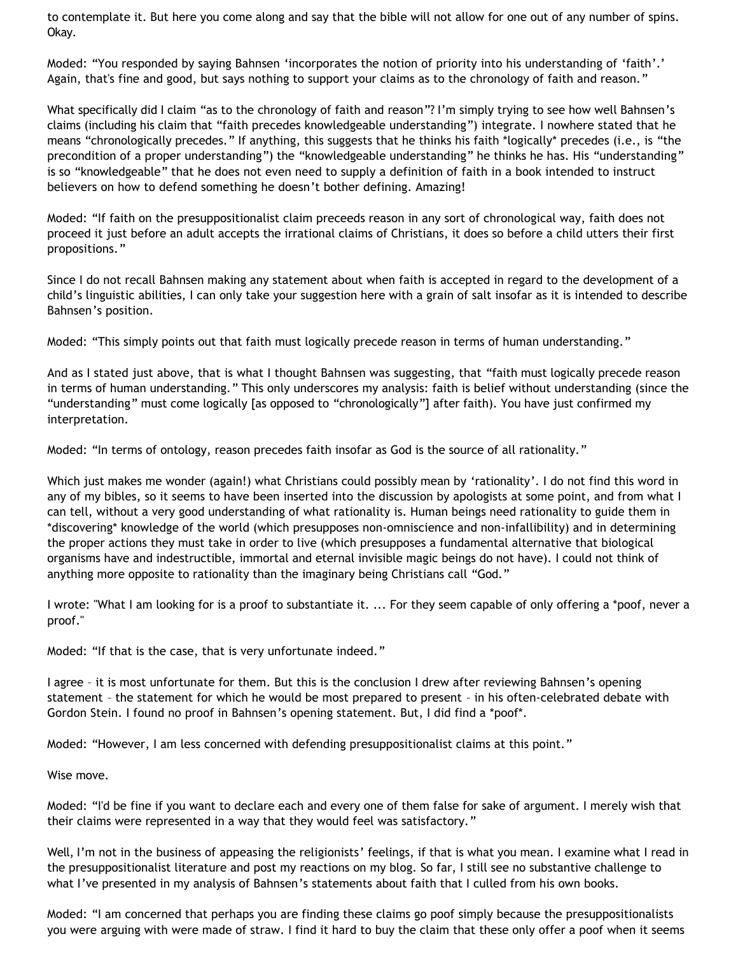to contemplate it. But here you come along and say that the bible will not allow for one out of any number of spins. Okay.

Moded: "You responded by saying Bahnsen 'incorporates the notion of priority into his understanding of 'faith'.' Again, that's fine and good, but says nothing to support your claims as to the chronology of faith and reason."

What specifically did I claim "as to the chronology of faith and reason"? I'm simply trying to see how well Bahnsen's claims (including his claim that "faith precedes knowledgeable understanding") integrate. I nowhere stated that he means "chronologically precedes." If anything, this suggests that he thinks his faith \*logically\* precedes (i.e., is "the precondition of a proper understanding") the "knowledgeable understanding" he thinks he has. His "understanding" is so "knowledgeable" that he does not even need to supply a definition of faith in a book intended to instruct believers on how to defend something he doesn't bother defining. Amazing!

Moded: "If faith on the presuppositionalist claim preceeds reason in any sort of chronological way, faith does not proceed it just before an adult accepts the irrational claims of Christians, it does so before a child utters their first propositions."

Since I do not recall Bahnsen making any statement about when faith is accepted in regard to the development of a child's linguistic abilities, I can only take your suggestion here with a grain of salt insofar as it is intended to describe Bahnsen's position.

Moded: "This simply points out that faith must logically precede reason in terms of human understanding."

And as I stated just above, that is what I thought Bahnsen was suggesting, that "faith must logically precede reason in terms of human understanding." This only underscores my analysis: faith is belief without understanding (since the "understanding" must come logically [as opposed to "chronologically"] after faith). You have just confirmed my interpretation.

Moded: "In terms of ontology, reason precedes faith insofar as God is the source of all rationality."

Which just makes me wonder (again!) what Christians could possibly mean by 'rationality'. I do not find this word in any of my bibles, so it seems to have been inserted into the discussion by apologists at some point, and from what I can tell, without a very good understanding of what rationality is. Human beings need rationality to guide them in \*discovering\* knowledge of the world (which presupposes non-omniscience and non-infallibility) and in determining the proper actions they must take in order to live (which presupposes a fundamental alternative that biological organisms have and indestructible, immortal and eternal invisible magic beings do not have). I could not think of anything more opposite to rationality than the imaginary being Christians call "God."

I wrote: "What I am looking for is a proof to substantiate it. ... For they seem capable of only offering a \*poof, never a proof."

Moded: "If that is the case, that is very unfortunate indeed."

I agree – it is most unfortunate for them. But this is the conclusion I drew after reviewing Bahnsen's opening statement – the statement for which he would be most prepared to present – in his often-celebrated debate with Gordon Stein. I found no proof in Bahnsen's opening statement. But, I did find a \*poof\*.

Moded: "However, I am less concerned with defending presuppositionalist claims at this point."

Wise move.

Moded: "I'd be fine if you want to declare each and every one of them false for sake of argument. I merely wish that their claims were represented in a way that they would feel was satisfactory."

Well, I'm not in the business of appeasing the religionists' feelings, if that is what you mean. I examine what I read in the presuppositionalist literature and post my reactions on my blog. So far, I still see no substantive challenge to what I've presented in my analysis of Bahnsen's statements about faith that I culled from his own books.

Moded: "I am concerned that perhaps you are finding these claims go poof simply because the presuppositionalists you were arguing with were made of straw. I find it hard to buy the claim that these only offer a poof when it seems